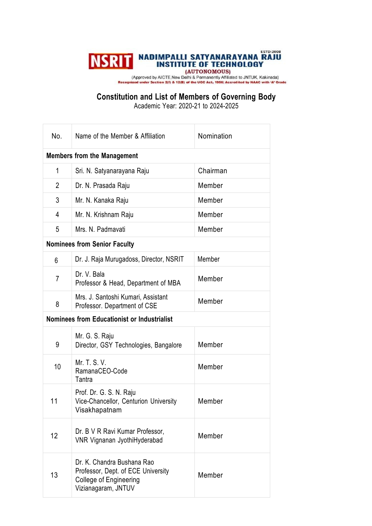## **NSRIT NADIMPALLI SATYANARAYANA RAJU**

(Approved by AICTE New Delhi & Permanently Affiliated to JNTUK, Kakinada)<br>Inized under Section 2(f) & 12(B) of the UOC Act, 1956| Accredited by NAAC with 'A' Grade

**Constitution and List of Members of Governing Body**

Academic Year: 2020-21 to 2024-2025

| No.                                                | Name of the Member & Affiliation                                                                                         | Nomination |  |
|----------------------------------------------------|--------------------------------------------------------------------------------------------------------------------------|------------|--|
| <b>Members from the Management</b>                 |                                                                                                                          |            |  |
| 1                                                  | Sri. N. Satyanarayana Raju                                                                                               | Chairman   |  |
| $\overline{2}$                                     | Dr. N. Prasada Raju                                                                                                      | Member     |  |
| 3                                                  | Mr. N. Kanaka Raju                                                                                                       | Member     |  |
| 4                                                  | Mr. N. Krishnam Raju                                                                                                     | Member     |  |
| 5                                                  | Mrs. N. Padmavati                                                                                                        | Member     |  |
| <b>Nominees from Senior Faculty</b>                |                                                                                                                          |            |  |
| 6                                                  | Dr. J. Raja Murugadoss, Director, NSRIT                                                                                  | Member     |  |
| $\overline{7}$                                     | Dr. V. Bala<br>Professor & Head, Department of MBA                                                                       | Member     |  |
| 8                                                  | Mrs. J. Santoshi Kumari, Assistant<br>Professor. Department of CSE                                                       | Member     |  |
| <b>Nominees from Educationist or Industrialist</b> |                                                                                                                          |            |  |
| 9                                                  | Mr. G. S. Raju<br>Director, GSY Technologies, Bangalore                                                                  | Member     |  |
| 10                                                 | Mr. T. S. V.<br>RamanaCEO-Code<br>Tantra                                                                                 | Member     |  |
| 11                                                 | Prof. Dr. G. S. N. Raju<br>Vice-Chancellor, Centurion University<br>Visakhapatnam                                        | Member     |  |
| 12                                                 | Dr. B V R Ravi Kumar Professor,<br>VNR Vignanan JyothiHyderabad                                                          | Member     |  |
| 13                                                 | Dr. K. Chandra Bushana Rao<br>Professor, Dept. of ECE University<br><b>College of Engineering</b><br>Vizianagaram, JNTUV | Member     |  |